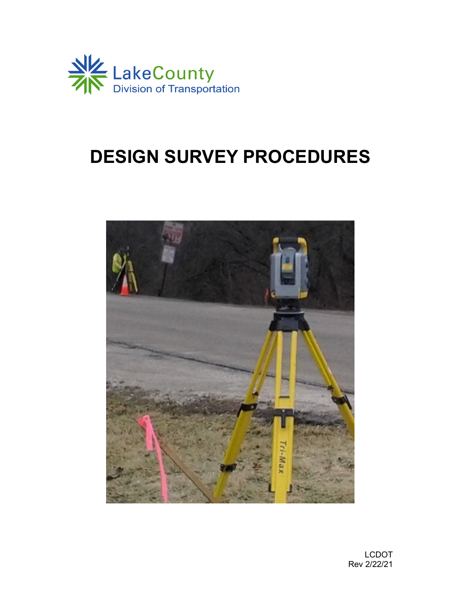

# **DESIGN SURVEY PROCEDURES**

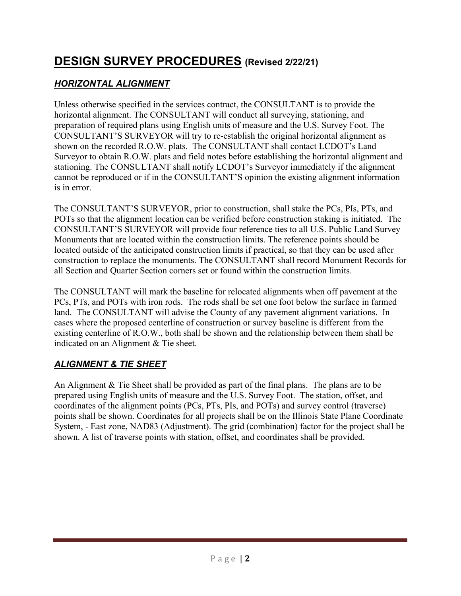# **DESIGN SURVEY PROCEDURES (Revised 2/22/21)**

## *HORIZONTAL ALIGNMENT*

Unless otherwise specified in the services contract, the CONSULTANT is to provide the horizontal alignment. The CONSULTANT will conduct all surveying, stationing, and preparation of required plans using English units of measure and the U.S. Survey Foot. The CONSULTANT'S SURVEYOR will try to re-establish the original horizontal alignment as shown on the recorded R.O.W. plats. The CONSULTANT shall contact LCDOT's Land Surveyor to obtain R.O.W. plats and field notes before establishing the horizontal alignment and stationing. The CONSULTANT shall notify LCDOT's Surveyor immediately if the alignment cannot be reproduced or if in the CONSULTANT'S opinion the existing alignment information is in error.

The CONSULTANT'S SURVEYOR, prior to construction, shall stake the PCs, PIs, PTs, and POTs so that the alignment location can be verified before construction staking is initiated. The CONSULTANT'S SURVEYOR will provide four reference ties to all U.S. Public Land Survey Monuments that are located within the construction limits. The reference points should be located outside of the anticipated construction limits if practical, so that they can be used after construction to replace the monuments. The CONSULTANT shall record Monument Records for all Section and Quarter Section corners set or found within the construction limits.

The CONSULTANT will mark the baseline for relocated alignments when off pavement at the PCs, PTs, and POTs with iron rods. The rods shall be set one foot below the surface in farmed land. The CONSULTANT will advise the County of any pavement alignment variations. In cases where the proposed centerline of construction or survey baseline is different from the existing centerline of R.O.W., both shall be shown and the relationship between them shall be indicated on an Alignment & Tie sheet.

#### *ALIGNMENT & TIE SHEET*

An Alignment & Tie Sheet shall be provided as part of the final plans. The plans are to be prepared using English units of measure and the U.S. Survey Foot. The station, offset, and coordinates of the alignment points (PCs, PTs, PIs, and POTs) and survey control (traverse) points shall be shown. Coordinates for all projects shall be on the Illinois State Plane Coordinate System, - East zone, NAD83 (Adjustment). The grid (combination) factor for the project shall be shown. A list of traverse points with station, offset, and coordinates shall be provided.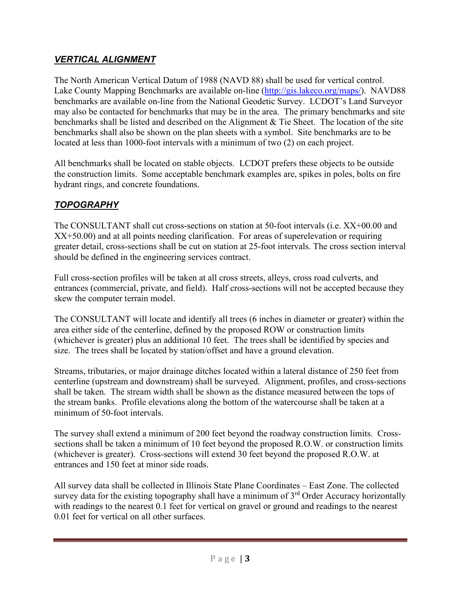#### *VERTICAL ALIGNMENT*

The North American Vertical Datum of 1988 (NAVD 88) shall be used for vertical control. Lake County Mapping Benchmarks are available on-line [\(http://gis.lakeco.org/maps/\)](http://gis.lakeco.org/maps/). NAVD88 benchmarks are available on-line from the National Geodetic Survey. LCDOT's Land Surveyor may also be contacted for benchmarks that may be in the area. The primary benchmarks and site benchmarks shall be listed and described on the Alignment & Tie Sheet. The location of the site benchmarks shall also be shown on the plan sheets with a symbol. Site benchmarks are to be located at less than 1000-foot intervals with a minimum of two (2) on each project.

All benchmarks shall be located on stable objects. LCDOT prefers these objects to be outside the construction limits. Some acceptable benchmark examples are, spikes in poles, bolts on fire hydrant rings, and concrete foundations.

## *TOPOGRAPHY*

The CONSULTANT shall cut cross-sections on station at 50-foot intervals (i.e. XX+00.00 and XX+50.00) and at all points needing clarification. For areas of superelevation or requiring greater detail, cross-sections shall be cut on station at 25-foot intervals. The cross section interval should be defined in the engineering services contract.

Full cross-section profiles will be taken at all cross streets, alleys, cross road culverts, and entrances (commercial, private, and field). Half cross-sections will not be accepted because they skew the computer terrain model.

The CONSULTANT will locate and identify all trees (6 inches in diameter or greater) within the area either side of the centerline, defined by the proposed ROW or construction limits (whichever is greater) plus an additional 10 feet. The trees shall be identified by species and size. The trees shall be located by station/offset and have a ground elevation.

Streams, tributaries, or major drainage ditches located within a lateral distance of 250 feet from centerline (upstream and downstream) shall be surveyed. Alignment, profiles, and cross-sections shall be taken. The stream width shall be shown as the distance measured between the tops of the stream banks. Profile elevations along the bottom of the watercourse shall be taken at a minimum of 50-foot intervals.

The survey shall extend a minimum of 200 feet beyond the roadway construction limits. Crosssections shall be taken a minimum of 10 feet beyond the proposed R.O.W. or construction limits (whichever is greater). Cross-sections will extend 30 feet beyond the proposed R.O.W. at entrances and 150 feet at minor side roads.

All survey data shall be collected in Illinois State Plane Coordinates – East Zone. The collected survey data for the existing topography shall have a minimum of  $3<sup>rd</sup>$  Order Accuracy horizontally with readings to the nearest 0.1 feet for vertical on gravel or ground and readings to the nearest 0.01 feet for vertical on all other surfaces.